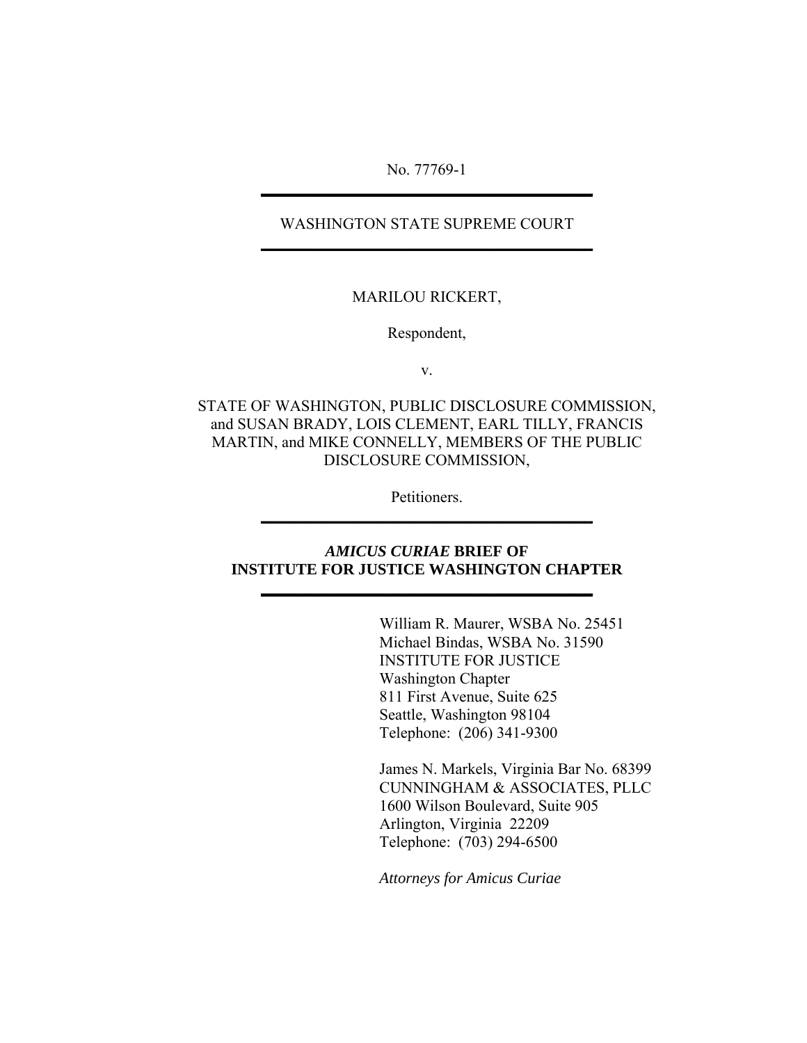No. 77769-1 **\_\_\_\_\_\_\_\_\_\_\_\_\_\_\_\_\_\_\_\_\_\_\_\_\_\_\_\_\_\_\_\_\_\_\_\_\_\_\_\_\_\_**

### WASHINGTON STATE SUPREME COURT **\_\_\_\_\_\_\_\_\_\_\_\_\_\_\_\_\_\_\_\_\_\_\_\_\_\_\_\_\_\_\_\_\_\_\_\_\_\_\_\_\_\_**

#### MARILOU RICKERT,

Respondent,

v.

STATE OF WASHINGTON, PUBLIC DISCLOSURE COMMISSION, and SUSAN BRADY, LOIS CLEMENT, EARL TILLY, FRANCIS MARTIN, and MIKE CONNELLY, MEMBERS OF THE PUBLIC DISCLOSURE COMMISSION,

> Petitioners. **\_\_\_\_\_\_\_\_\_\_\_\_\_\_\_\_\_\_\_\_\_\_\_\_\_\_\_\_\_\_\_\_\_\_\_\_\_\_\_\_\_\_**

### *AMICUS CURIAE* **BRIEF OF INSTITUTE FOR JUSTICE WASHINGTON CHAPTER**

**\_\_\_\_\_\_\_\_\_\_\_\_\_\_\_\_\_\_\_\_\_\_\_\_\_\_\_\_\_\_\_\_\_\_\_\_\_\_\_\_\_\_**

 William R. Maurer, WSBA No. 25451 Michael Bindas, WSBA No. 31590 INSTITUTE FOR JUSTICE Washington Chapter 811 First Avenue, Suite 625 Seattle, Washington 98104 Telephone: (206) 341-9300

James N. Markels, Virginia Bar No. 68399 CUNNINGHAM & ASSOCIATES, PLLC 1600 Wilson Boulevard, Suite 905 Arlington, Virginia 22209 Telephone: (703) 294-6500

*Attorneys for Amicus Curiae*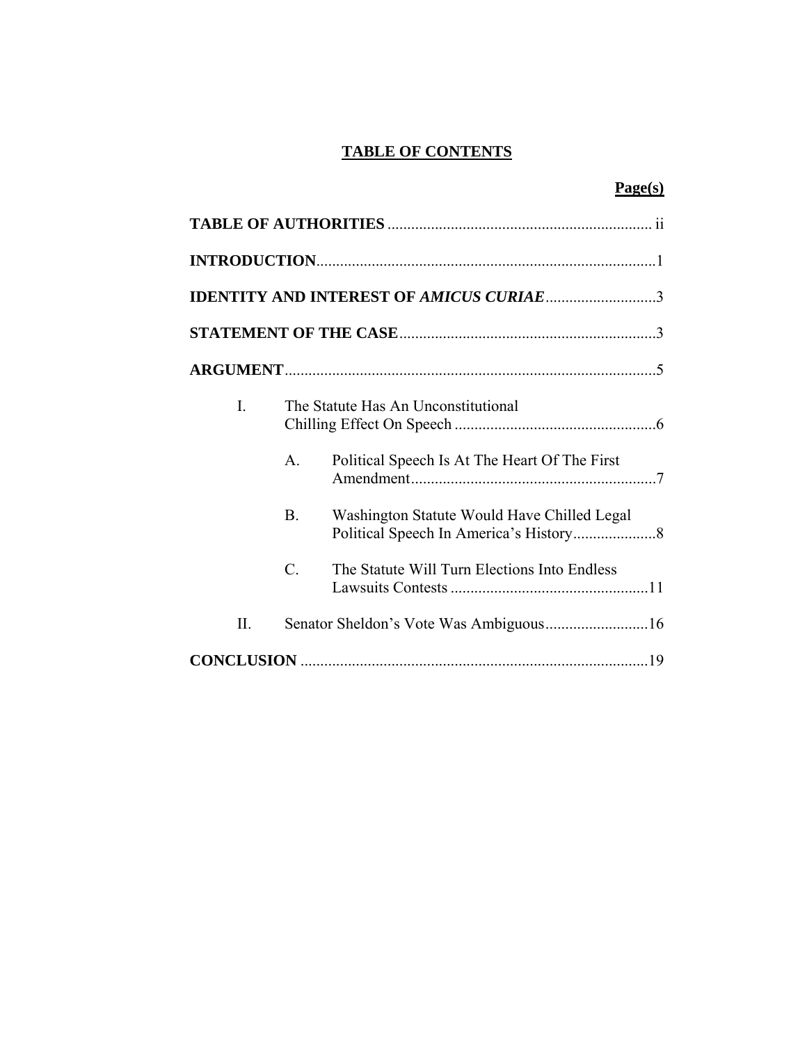## **TABLE OF CONTENTS**

| e.<br>۰. |  |
|----------|--|
|----------|--|

|                |            | <b>IDENTITY AND INTEREST OF AMICUS CURIAE 3</b> |
|----------------|------------|-------------------------------------------------|
|                |            |                                                 |
|                |            |                                                 |
| $\overline{L}$ |            | The Statute Has An Unconstitutional             |
|                | A.         | Political Speech Is At The Heart Of The First   |
|                | <b>B</b> . | Washington Statute Would Have Chilled Legal     |
|                | $C$ .      | The Statute Will Turn Elections Into Endless    |
| Π.             |            |                                                 |
|                |            |                                                 |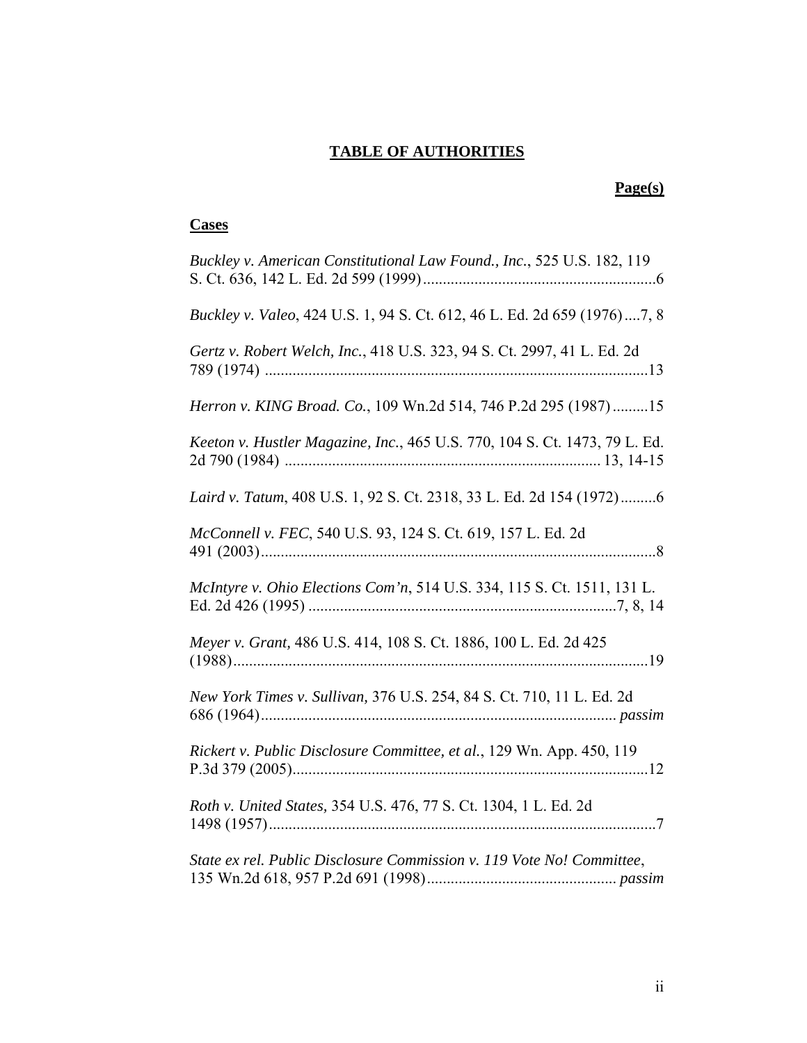## **TABLE OF AUTHORITIES**

## **Page(s)**

## **Cases**

| Buckley v. American Constitutional Law Found., Inc., 525 U.S. 182, 119     |
|----------------------------------------------------------------------------|
| Buckley v. Valeo, 424 U.S. 1, 94 S. Ct. 612, 46 L. Ed. 2d 659 (1976)7, 8   |
| Gertz v. Robert Welch, Inc., 418 U.S. 323, 94 S. Ct. 2997, 41 L. Ed. 2d    |
| Herron v. KING Broad. Co., 109 Wn.2d 514, 746 P.2d 295 (1987)15            |
| Keeton v. Hustler Magazine, Inc., 465 U.S. 770, 104 S. Ct. 1473, 79 L. Ed. |
| Laird v. Tatum, 408 U.S. 1, 92 S. Ct. 2318, 33 L. Ed. 2d 154 (1972)6       |
| McConnell v. FEC, 540 U.S. 93, 124 S. Ct. 619, 157 L. Ed. 2d               |
| McIntyre v. Ohio Elections Com'n, 514 U.S. 334, 115 S. Ct. 1511, 131 L.    |
| Meyer v. Grant, 486 U.S. 414, 108 S. Ct. 1886, 100 L. Ed. 2d 425           |
| New York Times v. Sullivan, 376 U.S. 254, 84 S. Ct. 710, 11 L. Ed. 2d      |
| Rickert v. Public Disclosure Committee, et al., 129 Wn. App. 450, 119      |
| Roth v. United States, 354 U.S. 476, 77 S. Ct. 1304, 1 L. Ed. 2d           |
| State ex rel. Public Disclosure Commission v. 119 Vote No! Committee,      |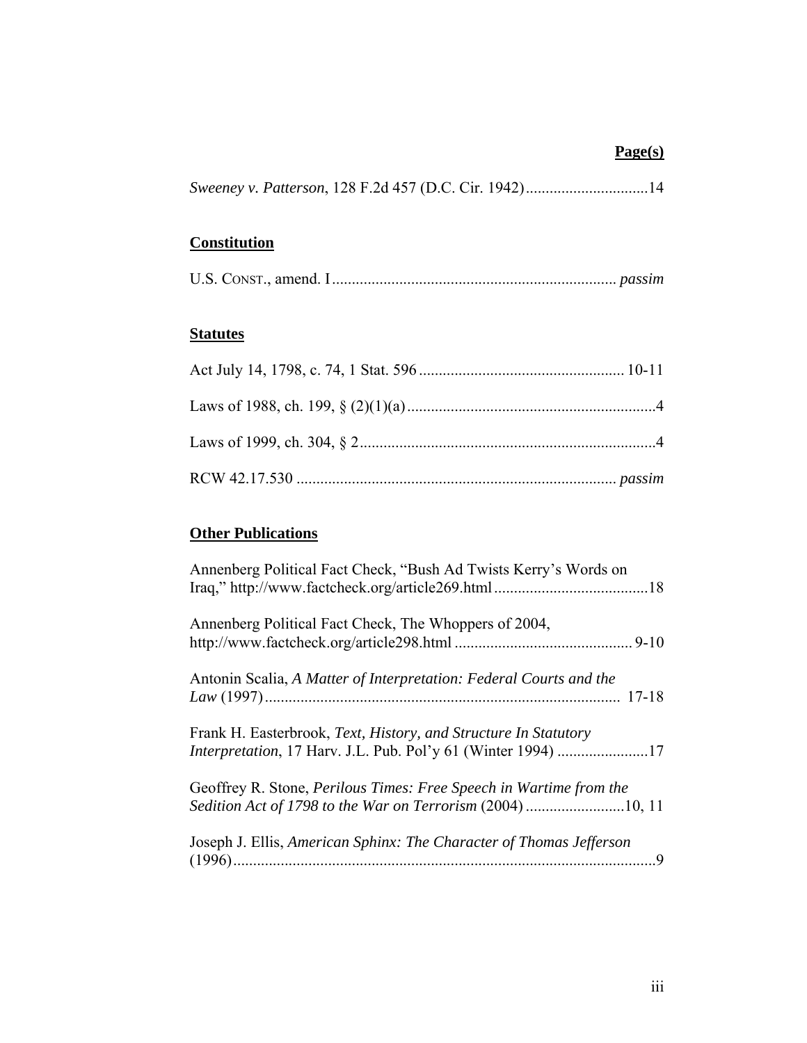## **Page(s)**

|  |  |  | Sweeney v. Patterson, 128 F.2d 457 (D.C. Cir. 1942)14 |
|--|--|--|-------------------------------------------------------|
|--|--|--|-------------------------------------------------------|

# **Constitution**

## **Statutes**

## **Other Publications**

| Annenberg Political Fact Check, "Bush Ad Twists Kerry's Words on                                                                |
|---------------------------------------------------------------------------------------------------------------------------------|
| Annenberg Political Fact Check, The Whoppers of 2004,                                                                           |
| Antonin Scalia, A Matter of Interpretation: Federal Courts and the                                                              |
| Frank H. Easterbrook, Text, History, and Structure In Statutory<br>Interpretation, 17 Harv. J.L. Pub. Pol'y 61 (Winter 1994) 17 |
| Geoffrey R. Stone, Perilous Times: Free Speech in Wartime from the                                                              |
| Joseph J. Ellis, American Sphinx: The Character of Thomas Jefferson                                                             |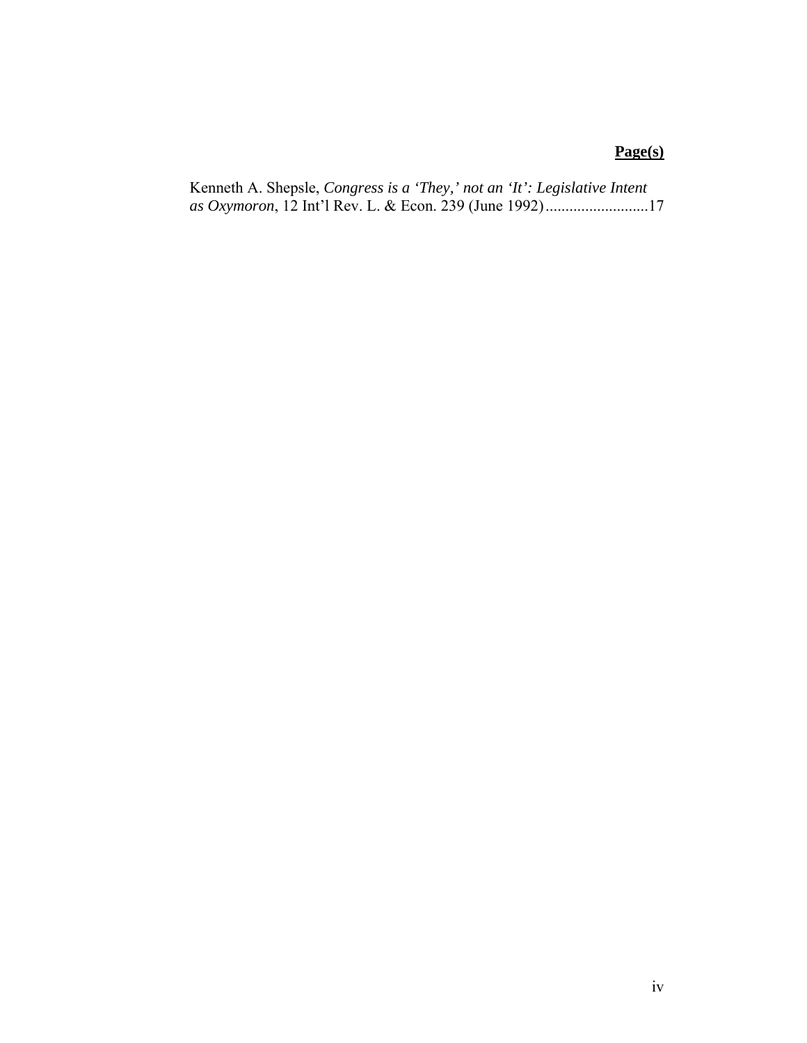## **Page(s)**

```
Kenneth A. Shepsle, Congress is a 'They,' not an 'It': Legislative Intent 
as Oxymoron, 12 Int'l Rev. L. & Econ. 239 (June 1992)..........................17
```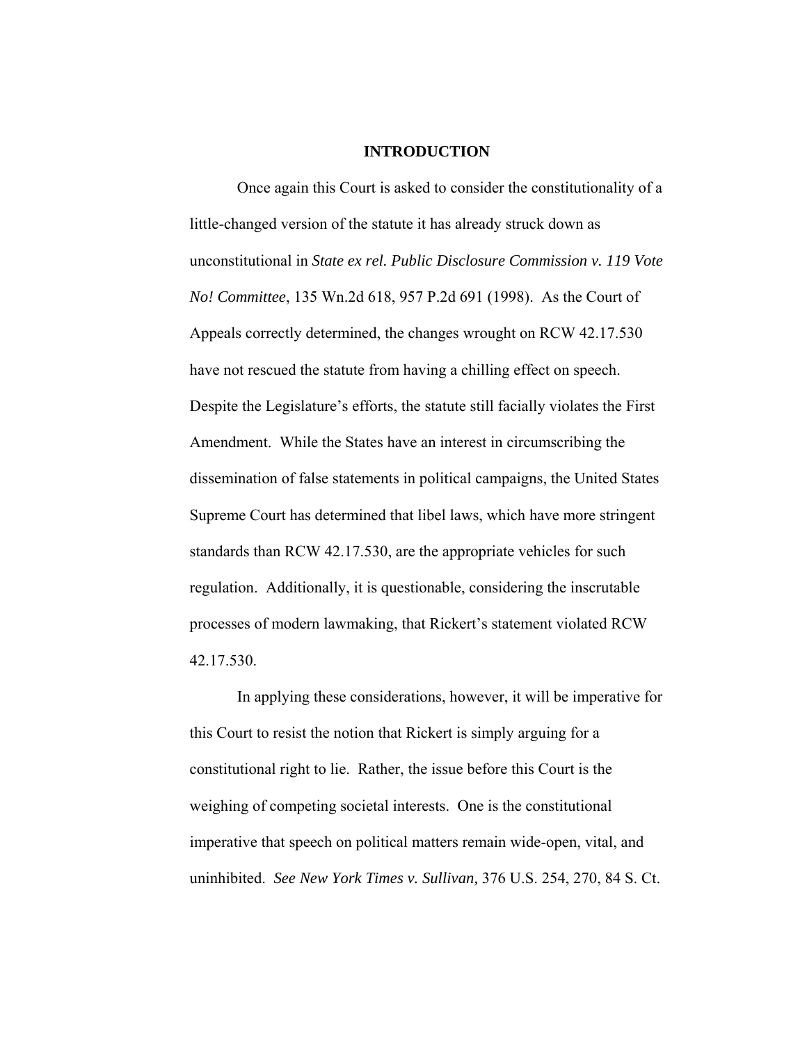#### **INTRODUCTION**

Once again this Court is asked to consider the constitutionality of a little-changed version of the statute it has already struck down as unconstitutional in *State ex rel. Public Disclosure Commission v. 119 Vote No! Committee*, 135 Wn.2d 618, 957 P.2d 691 (1998). As the Court of Appeals correctly determined, the changes wrought on RCW 42.17.530 have not rescued the statute from having a chilling effect on speech. Despite the Legislature's efforts, the statute still facially violates the First Amendment. While the States have an interest in circumscribing the dissemination of false statements in political campaigns, the United States Supreme Court has determined that libel laws, which have more stringent standards than RCW 42.17.530, are the appropriate vehicles for such regulation. Additionally, it is questionable, considering the inscrutable processes of modern lawmaking, that Rickert's statement violated RCW 42.17.530.

In applying these considerations, however, it will be imperative for this Court to resist the notion that Rickert is simply arguing for a constitutional right to lie. Rather, the issue before this Court is the weighing of competing societal interests. One is the constitutional imperative that speech on political matters remain wide-open, vital, and uninhibited. *See New York Times v. Sullivan,* 376 U.S. 254, 270, 84 S. Ct.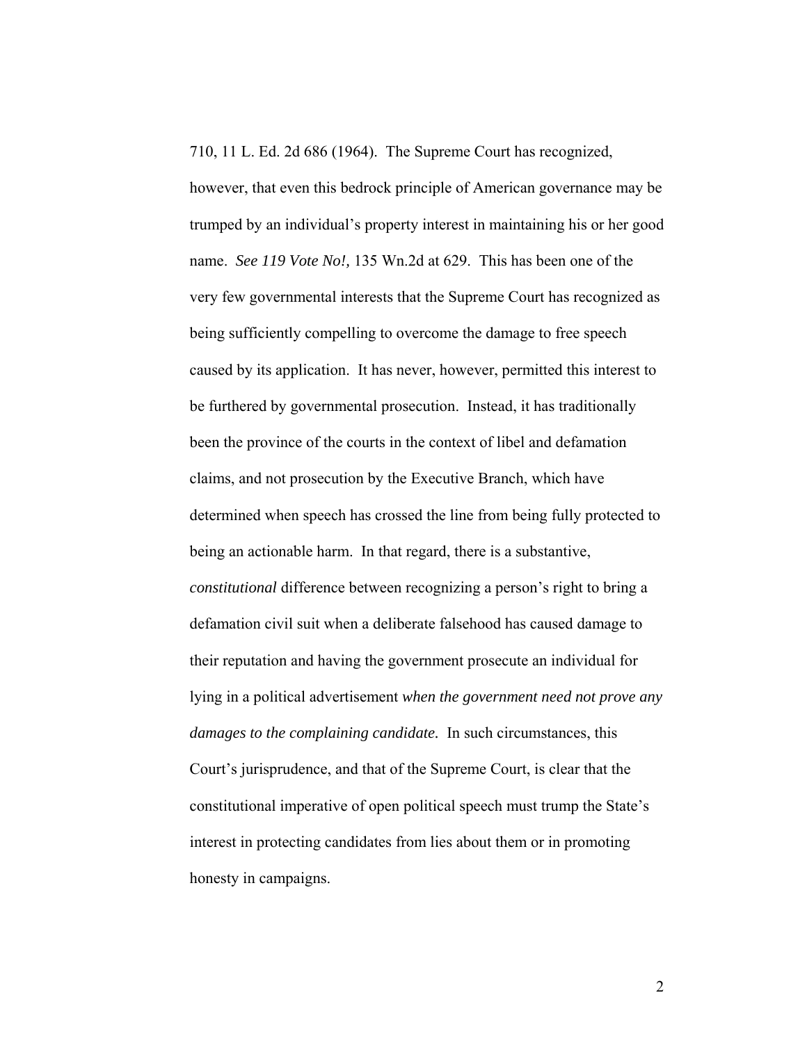710, 11 L. Ed. 2d 686 (1964). The Supreme Court has recognized,

however, that even this bedrock principle of American governance may be trumped by an individual's property interest in maintaining his or her good name. *See 119 Vote No!,* 135 Wn.2d at 629. This has been one of the very few governmental interests that the Supreme Court has recognized as being sufficiently compelling to overcome the damage to free speech caused by its application. It has never, however, permitted this interest to be furthered by governmental prosecution. Instead, it has traditionally been the province of the courts in the context of libel and defamation claims, and not prosecution by the Executive Branch, which have determined when speech has crossed the line from being fully protected to being an actionable harm. In that regard, there is a substantive, *constitutional* difference between recognizing a person's right to bring a defamation civil suit when a deliberate falsehood has caused damage to their reputation and having the government prosecute an individual for lying in a political advertisement *when the government need not prove any damages to the complaining candidate.* In such circumstances, this Court's jurisprudence, and that of the Supreme Court, is clear that the constitutional imperative of open political speech must trump the State's interest in protecting candidates from lies about them or in promoting honesty in campaigns.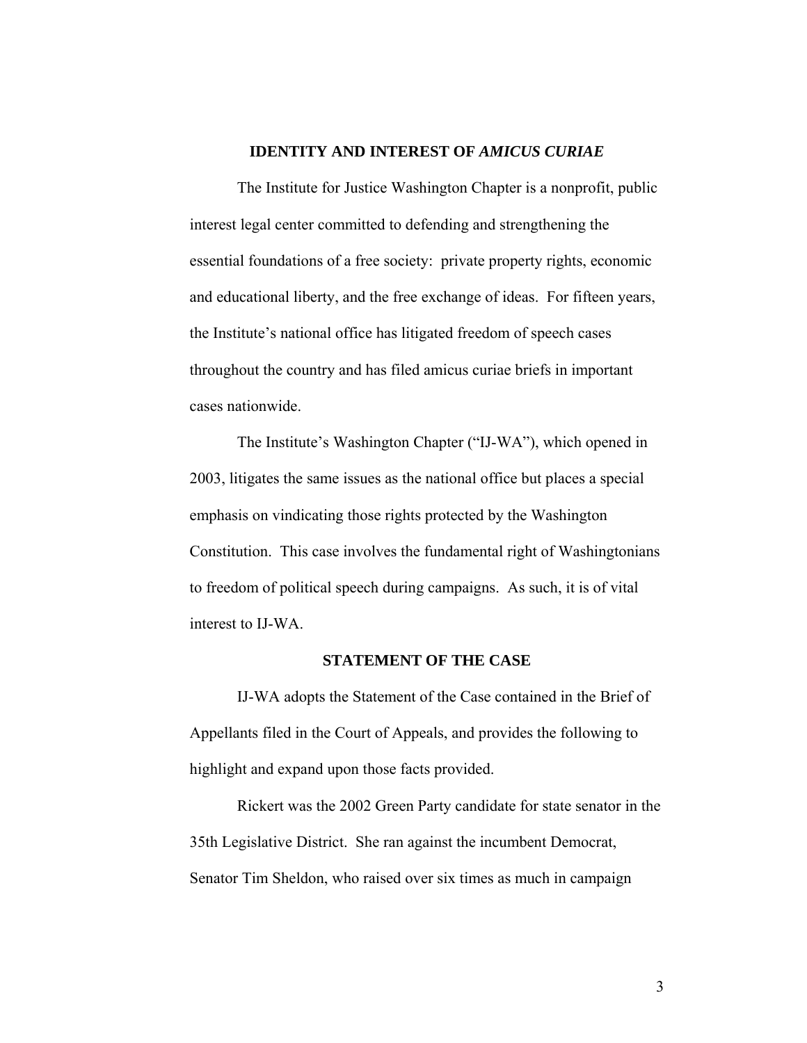### **IDENTITY AND INTEREST OF** *AMICUS CURIAE*

The Institute for Justice Washington Chapter is a nonprofit, public interest legal center committed to defending and strengthening the essential foundations of a free society: private property rights, economic and educational liberty, and the free exchange of ideas. For fifteen years, the Institute's national office has litigated freedom of speech cases throughout the country and has filed amicus curiae briefs in important cases nationwide.

The Institute's Washington Chapter ("IJ-WA"), which opened in 2003, litigates the same issues as the national office but places a special emphasis on vindicating those rights protected by the Washington Constitution. This case involves the fundamental right of Washingtonians to freedom of political speech during campaigns. As such, it is of vital interest to IJ-WA.

### **STATEMENT OF THE CASE**

IJ-WA adopts the Statement of the Case contained in the Brief of Appellants filed in the Court of Appeals, and provides the following to highlight and expand upon those facts provided.

Rickert was the 2002 Green Party candidate for state senator in the 35th Legislative District. She ran against the incumbent Democrat, Senator Tim Sheldon, who raised over six times as much in campaign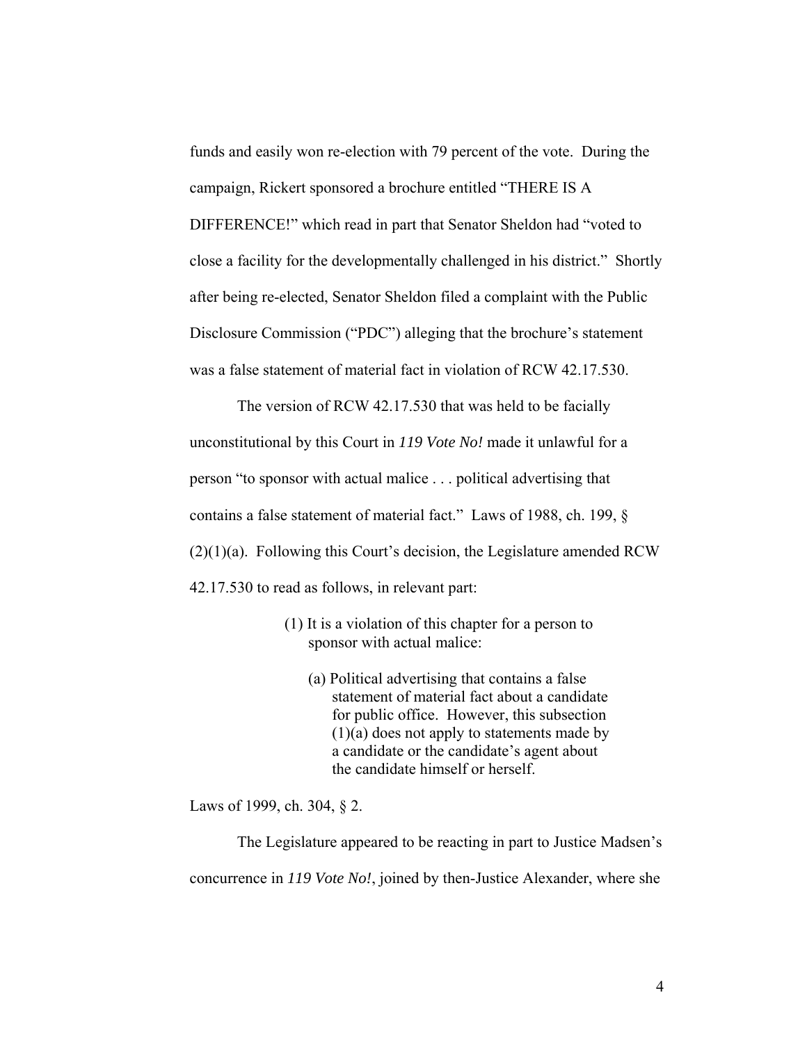funds and easily won re-election with 79 percent of the vote. During the campaign, Rickert sponsored a brochure entitled "THERE IS A DIFFERENCE!" which read in part that Senator Sheldon had "voted to close a facility for the developmentally challenged in his district." Shortly after being re-elected, Senator Sheldon filed a complaint with the Public Disclosure Commission ("PDC") alleging that the brochure's statement was a false statement of material fact in violation of RCW 42.17.530.

The version of RCW 42.17.530 that was held to be facially unconstitutional by this Court in *119 Vote No!* made it unlawful for a person "to sponsor with actual malice . . . political advertising that contains a false statement of material fact." Laws of 1988, ch. 199, §  $(2)(1)(a)$ . Following this Court's decision, the Legislature amended RCW 42.17.530 to read as follows, in relevant part:

- (1) It is a violation of this chapter for a person to sponsor with actual malice:
	- (a) Political advertising that contains a false statement of material fact about a candidate for public office. However, this subsection (1)(a) does not apply to statements made by a candidate or the candidate's agent about the candidate himself or herself.

Laws of 1999, ch. 304, § 2.

The Legislature appeared to be reacting in part to Justice Madsen's concurrence in *119 Vote No!*, joined by then-Justice Alexander, where she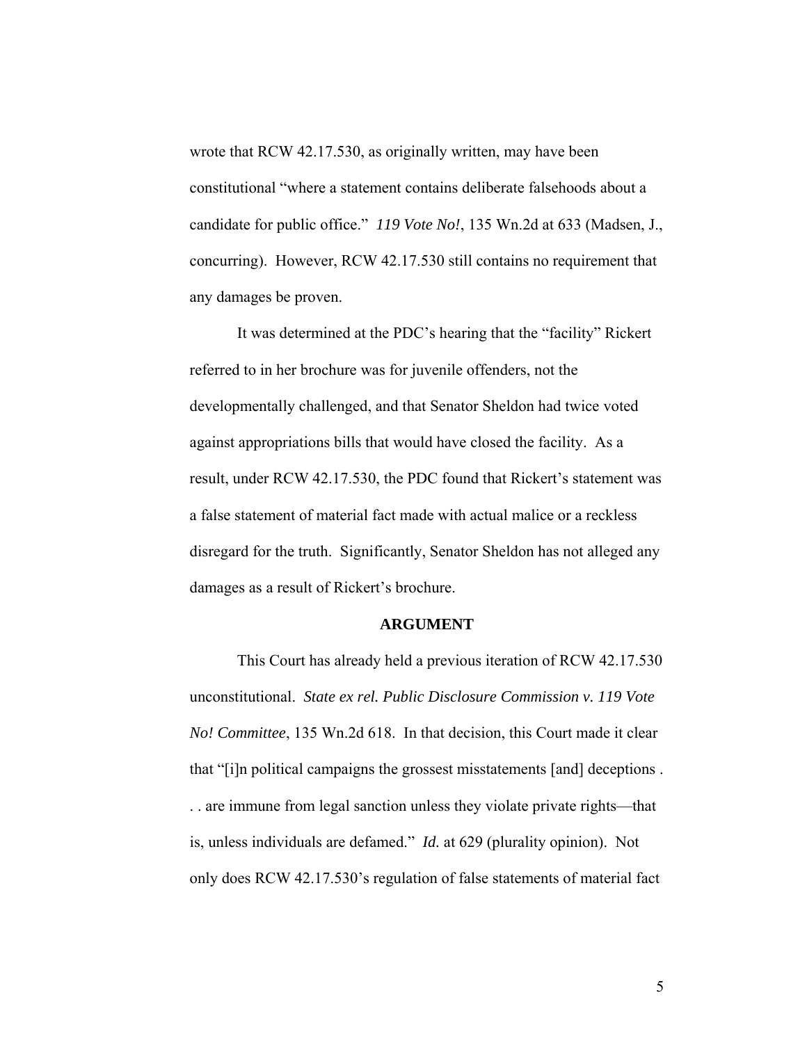wrote that RCW 42.17.530, as originally written, may have been constitutional "where a statement contains deliberate falsehoods about a candidate for public office." *119 Vote No!*, 135 Wn.2d at 633 (Madsen, J., concurring). However, RCW 42.17.530 still contains no requirement that any damages be proven.

It was determined at the PDC's hearing that the "facility" Rickert referred to in her brochure was for juvenile offenders, not the developmentally challenged, and that Senator Sheldon had twice voted against appropriations bills that would have closed the facility. As a result, under RCW 42.17.530, the PDC found that Rickert's statement was a false statement of material fact made with actual malice or a reckless disregard for the truth. Significantly, Senator Sheldon has not alleged any damages as a result of Rickert's brochure.

#### **ARGUMENT**

This Court has already held a previous iteration of RCW 42.17.530 unconstitutional. *State ex rel. Public Disclosure Commission v. 119 Vote No! Committee*, 135 Wn.2d 618. In that decision, this Court made it clear that "[i]n political campaigns the grossest misstatements [and] deceptions . . . are immune from legal sanction unless they violate private rights—that is, unless individuals are defamed." *Id.* at 629 (plurality opinion). Not only does RCW 42.17.530's regulation of false statements of material fact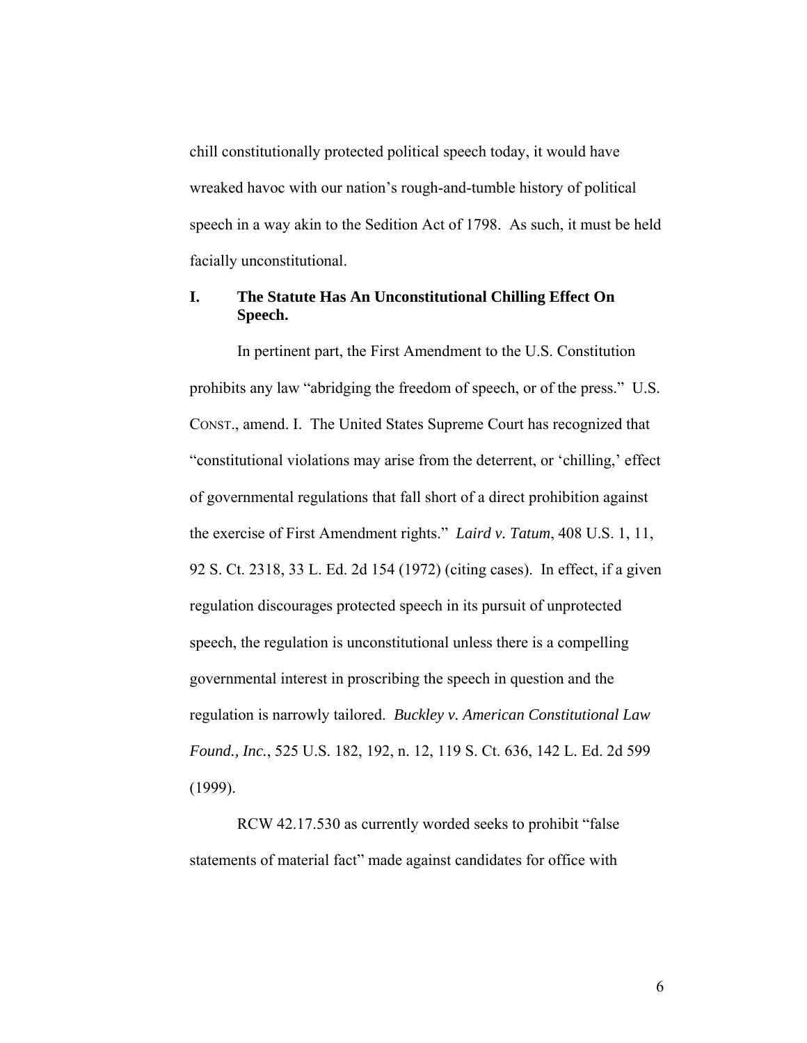chill constitutionally protected political speech today, it would have wreaked havoc with our nation's rough-and-tumble history of political speech in a way akin to the Sedition Act of 1798. As such, it must be held facially unconstitutional.

## **I. The Statute Has An Unconstitutional Chilling Effect On Speech.**

In pertinent part, the First Amendment to the U.S. Constitution prohibits any law "abridging the freedom of speech, or of the press." U.S. CONST., amend. I. The United States Supreme Court has recognized that "constitutional violations may arise from the deterrent, or 'chilling,' effect of governmental regulations that fall short of a direct prohibition against the exercise of First Amendment rights." *Laird v. Tatum*, 408 U.S. 1, 11, 92 S. Ct. 2318, 33 L. Ed. 2d 154 (1972) (citing cases). In effect, if a given regulation discourages protected speech in its pursuit of unprotected speech, the regulation is unconstitutional unless there is a compelling governmental interest in proscribing the speech in question and the regulation is narrowly tailored. *Buckley v. American Constitutional Law Found., Inc.*, 525 U.S. 182, 192, n. 12, 119 S. Ct. 636, 142 L. Ed. 2d 599 (1999).

RCW 42.17.530 as currently worded seeks to prohibit "false statements of material fact" made against candidates for office with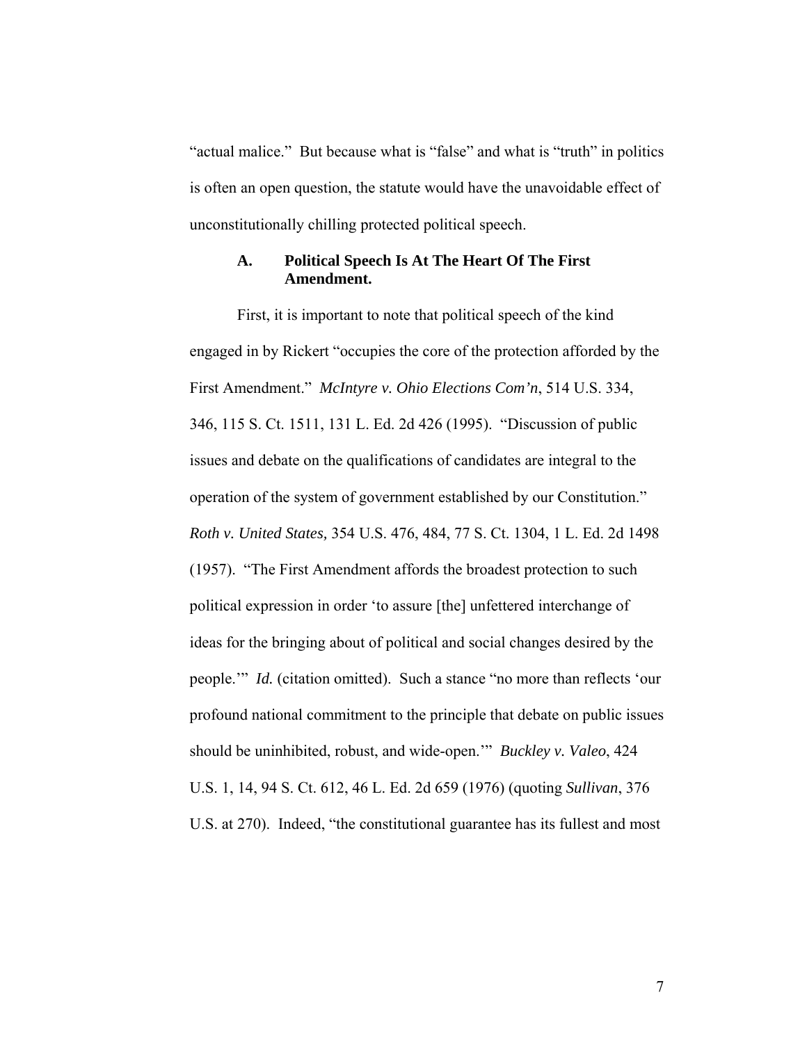"actual malice." But because what is "false" and what is "truth" in politics is often an open question, the statute would have the unavoidable effect of unconstitutionally chilling protected political speech.

### **A. Political Speech Is At The Heart Of The First Amendment.**

First, it is important to note that political speech of the kind engaged in by Rickert "occupies the core of the protection afforded by the First Amendment." *McIntyre v. Ohio Elections Com'n*, 514 U.S. 334, 346, 115 S. Ct. 1511, 131 L. Ed. 2d 426 (1995). "Discussion of public issues and debate on the qualifications of candidates are integral to the operation of the system of government established by our Constitution." *Roth v. United States,* 354 U.S. 476, 484, 77 S. Ct. 1304, 1 L. Ed. 2d 1498 (1957). "The First Amendment affords the broadest protection to such political expression in order 'to assure [the] unfettered interchange of ideas for the bringing about of political and social changes desired by the people.'" *Id.* (citation omitted). Such a stance "no more than reflects 'our profound national commitment to the principle that debate on public issues should be uninhibited, robust, and wide-open.'" *Buckley v. Valeo*, 424 U.S. 1, 14, 94 S. Ct. 612, 46 L. Ed. 2d 659 (1976) (quoting *Sullivan*, 376 U.S. at 270). Indeed, "the constitutional guarantee has its fullest and most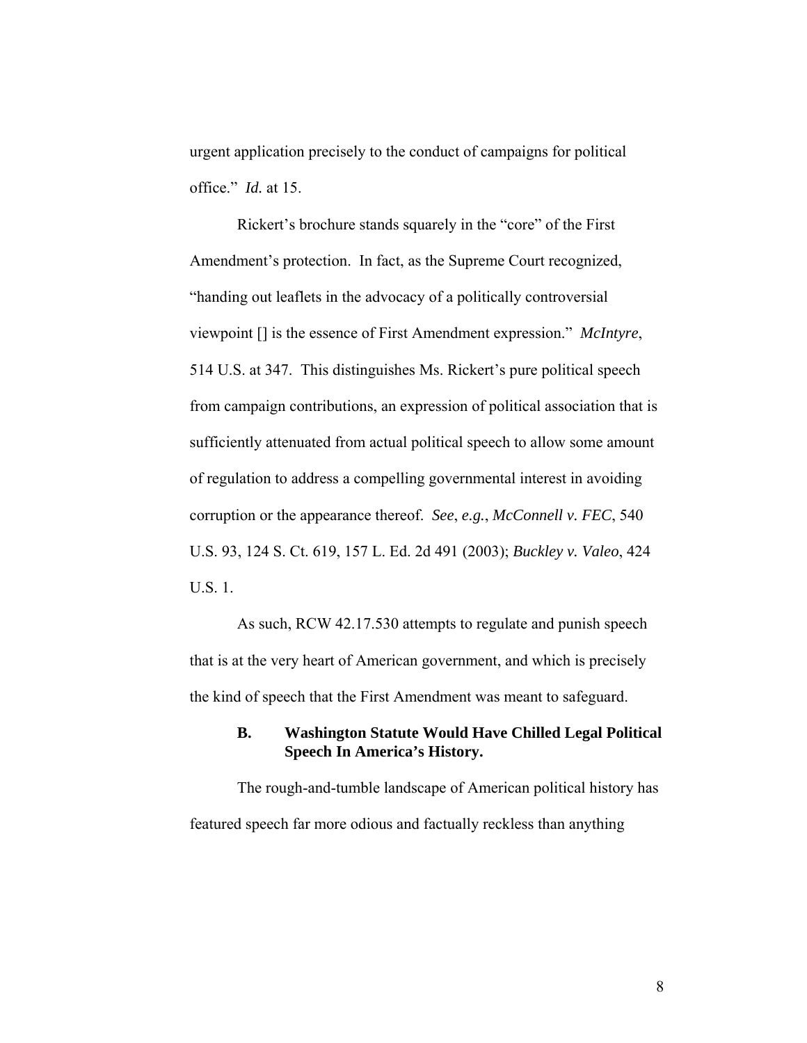urgent application precisely to the conduct of campaigns for political office." *Id.* at 15.

Rickert's brochure stands squarely in the "core" of the First Amendment's protection. In fact, as the Supreme Court recognized, "handing out leaflets in the advocacy of a politically controversial viewpoint [] is the essence of First Amendment expression." *McIntyre*, 514 U.S. at 347. This distinguishes Ms. Rickert's pure political speech from campaign contributions, an expression of political association that is sufficiently attenuated from actual political speech to allow some amount of regulation to address a compelling governmental interest in avoiding corruption or the appearance thereof. *See*, *e.g.*, *McConnell v. FEC*, 540 U.S. 93, 124 S. Ct. 619, 157 L. Ed. 2d 491 (2003); *Buckley v. Valeo*, 424 U.S. 1.

As such, RCW 42.17.530 attempts to regulate and punish speech that is at the very heart of American government, and which is precisely the kind of speech that the First Amendment was meant to safeguard.

### **B. Washington Statute Would Have Chilled Legal Political Speech In America's History.**

The rough-and-tumble landscape of American political history has featured speech far more odious and factually reckless than anything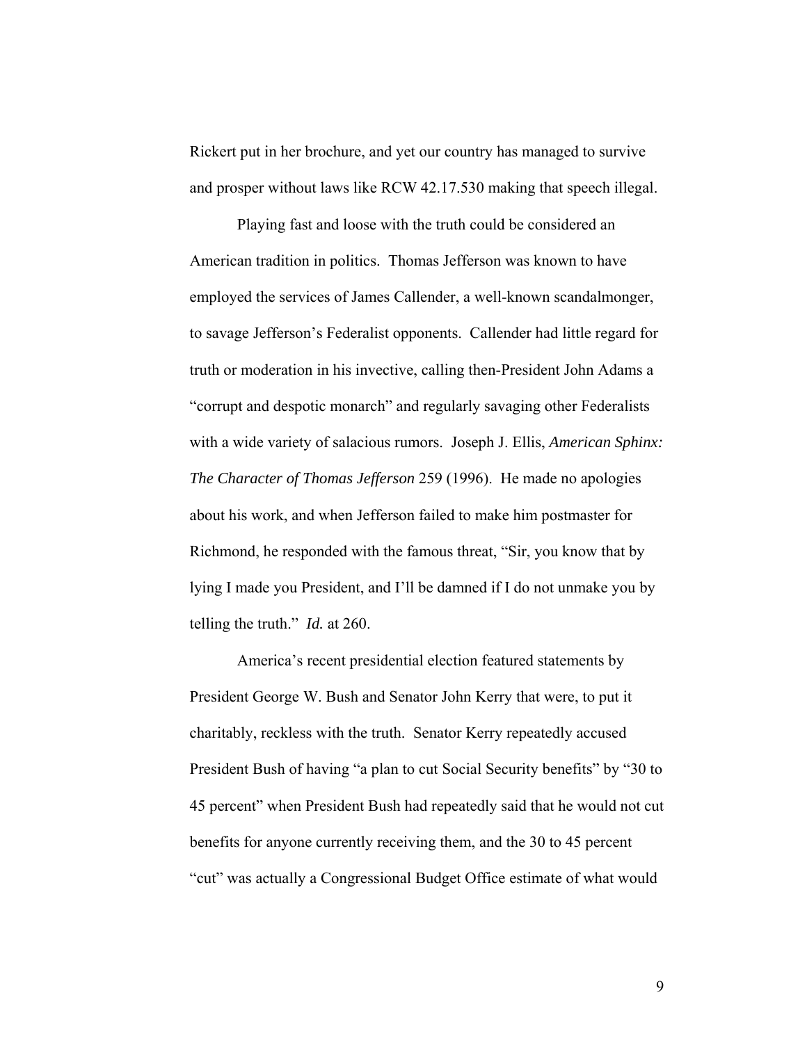Rickert put in her brochure, and yet our country has managed to survive and prosper without laws like RCW 42.17.530 making that speech illegal.

Playing fast and loose with the truth could be considered an American tradition in politics. Thomas Jefferson was known to have employed the services of James Callender, a well-known scandalmonger, to savage Jefferson's Federalist opponents. Callender had little regard for truth or moderation in his invective, calling then-President John Adams a "corrupt and despotic monarch" and regularly savaging other Federalists with a wide variety of salacious rumors. Joseph J. Ellis, *American Sphinx: The Character of Thomas Jefferson* 259 (1996). He made no apologies about his work, and when Jefferson failed to make him postmaster for Richmond, he responded with the famous threat, "Sir, you know that by lying I made you President, and I'll be damned if I do not unmake you by telling the truth." *Id.* at 260.

America's recent presidential election featured statements by President George W. Bush and Senator John Kerry that were, to put it charitably, reckless with the truth. Senator Kerry repeatedly accused President Bush of having "a plan to cut Social Security benefits" by "30 to 45 percent" when President Bush had repeatedly said that he would not cut benefits for anyone currently receiving them, and the 30 to 45 percent "cut" was actually a Congressional Budget Office estimate of what would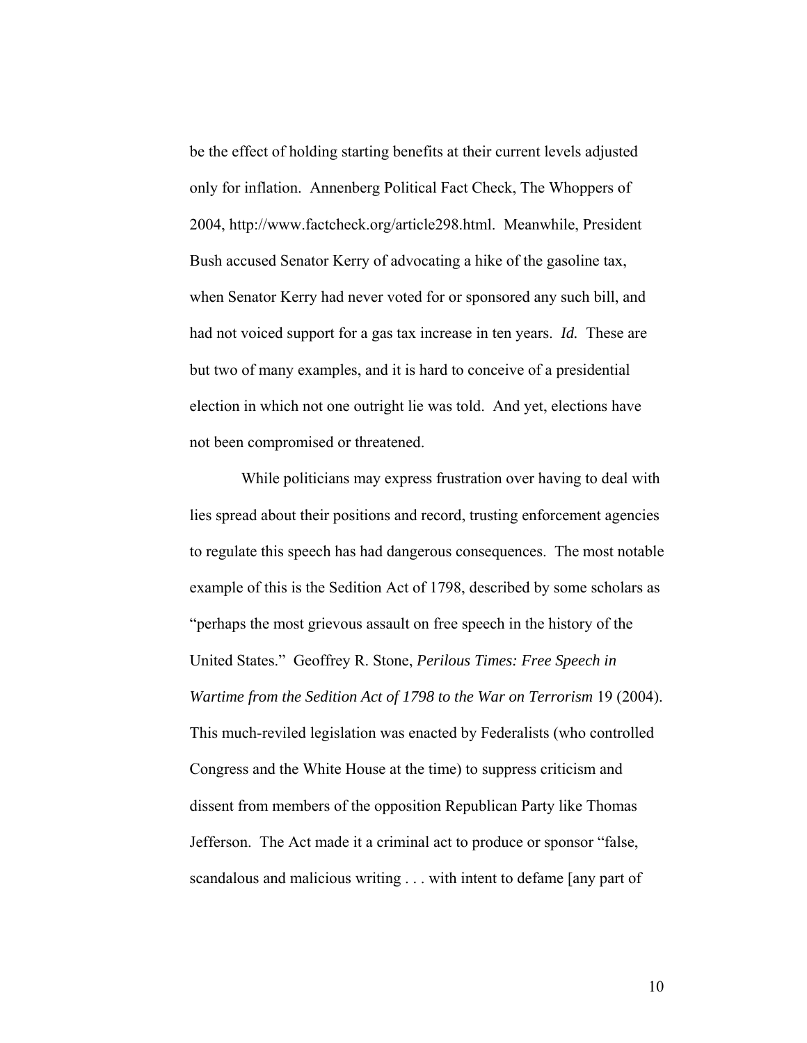be the effect of holding starting benefits at their current levels adjusted only for inflation. Annenberg Political Fact Check, The Whoppers of 2004, http://www.factcheck.org/article298.html. Meanwhile, President Bush accused Senator Kerry of advocating a hike of the gasoline tax, when Senator Kerry had never voted for or sponsored any such bill, and had not voiced support for a gas tax increase in ten years. *Id.* These are but two of many examples, and it is hard to conceive of a presidential election in which not one outright lie was told. And yet, elections have not been compromised or threatened.

 While politicians may express frustration over having to deal with lies spread about their positions and record, trusting enforcement agencies to regulate this speech has had dangerous consequences. The most notable example of this is the Sedition Act of 1798, described by some scholars as "perhaps the most grievous assault on free speech in the history of the United States." Geoffrey R. Stone, *Perilous Times: Free Speech in Wartime from the Sedition Act of 1798 to the War on Terrorism* 19 (2004). This much-reviled legislation was enacted by Federalists (who controlled Congress and the White House at the time) to suppress criticism and dissent from members of the opposition Republican Party like Thomas Jefferson. The Act made it a criminal act to produce or sponsor "false, scandalous and malicious writing . . . with intent to defame [any part of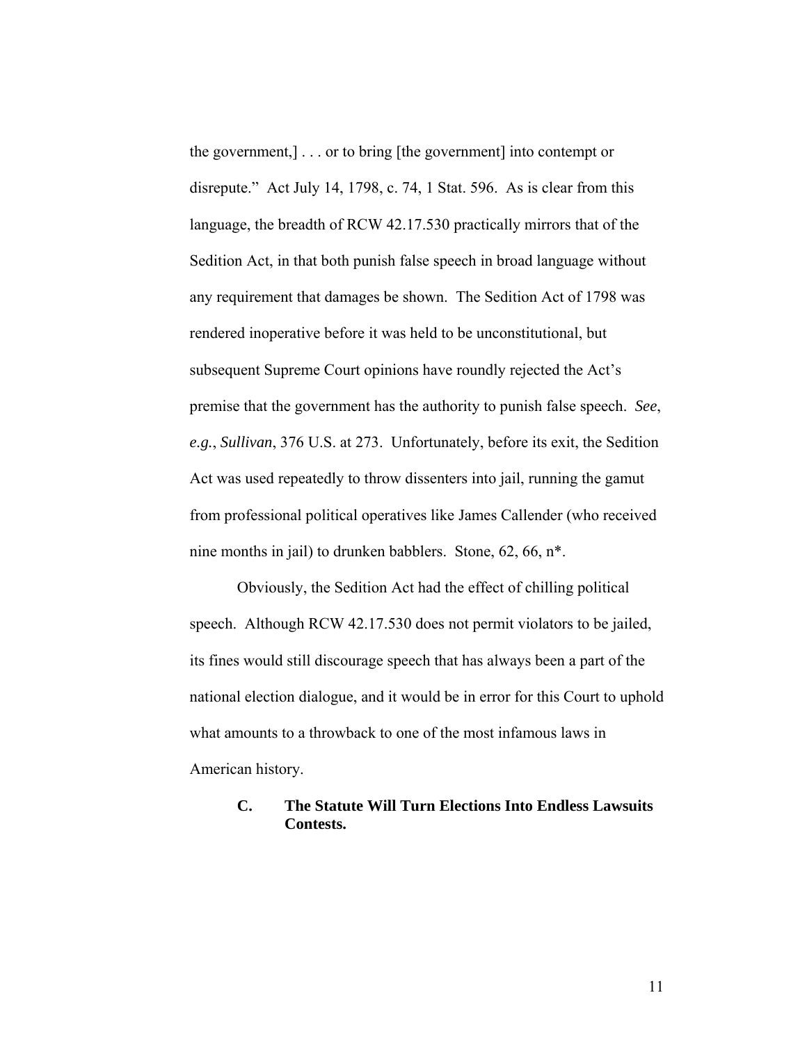the government,] . . . or to bring [the government] into contempt or disrepute." Act July 14, 1798, c. 74, 1 Stat. 596. As is clear from this language, the breadth of RCW 42.17.530 practically mirrors that of the Sedition Act, in that both punish false speech in broad language without any requirement that damages be shown. The Sedition Act of 1798 was rendered inoperative before it was held to be unconstitutional, but subsequent Supreme Court opinions have roundly rejected the Act's premise that the government has the authority to punish false speech. *See*, *e.g.*, *Sullivan*, 376 U.S. at 273. Unfortunately, before its exit, the Sedition Act was used repeatedly to throw dissenters into jail, running the gamut from professional political operatives like James Callender (who received nine months in jail) to drunken babblers. Stone, 62, 66, n\*.

Obviously, the Sedition Act had the effect of chilling political speech. Although RCW 42.17.530 does not permit violators to be jailed, its fines would still discourage speech that has always been a part of the national election dialogue, and it would be in error for this Court to uphold what amounts to a throwback to one of the most infamous laws in American history.

## **C. The Statute Will Turn Elections Into Endless Lawsuits Contests.**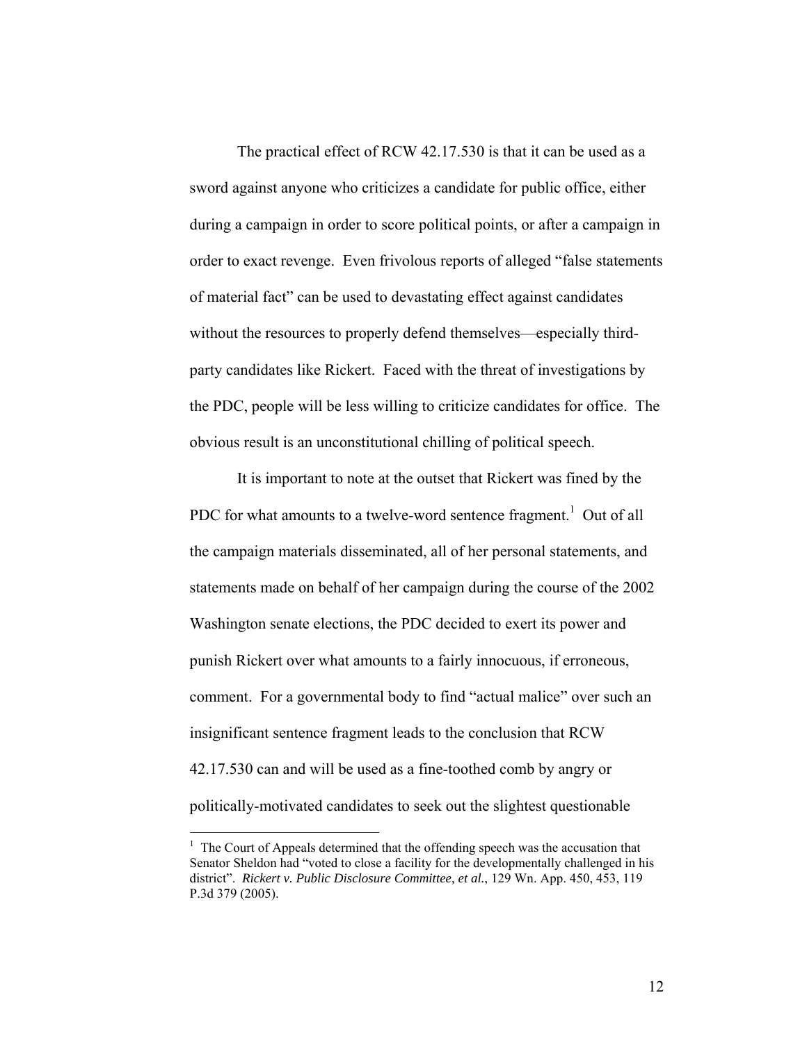The practical effect of RCW 42.17.530 is that it can be used as a sword against anyone who criticizes a candidate for public office, either during a campaign in order to score political points, or after a campaign in order to exact revenge. Even frivolous reports of alleged "false statements of material fact" can be used to devastating effect against candidates without the resources to properly defend themselves—especially thirdparty candidates like Rickert. Faced with the threat of investigations by the PDC, people will be less willing to criticize candidates for office. The obvious result is an unconstitutional chilling of political speech.

It is important to note at the outset that Rickert was fined by the PDC for what amounts to a twelve-word sentence fragment.<sup>[1](#page-16-0)</sup> Out of all the campaign materials disseminated, all of her personal statements, and statements made on behalf of her campaign during the course of the 2002 Washington senate elections, the PDC decided to exert its power and punish Rickert over what amounts to a fairly innocuous, if erroneous, comment. For a governmental body to find "actual malice" over such an insignificant sentence fragment leads to the conclusion that RCW 42.17.530 can and will be used as a fine-toothed comb by angry or politically-motivated candidates to seek out the slightest questionable

<u>.</u>

<span id="page-16-0"></span> $<sup>1</sup>$  The Court of Appeals determined that the offending speech was the accusation that</sup> Senator Sheldon had "voted to close a facility for the developmentally challenged in his district". *Rickert v. Public Disclosure Committee, et al.*, 129 Wn. App. 450, 453, 119 P.3d 379 (2005).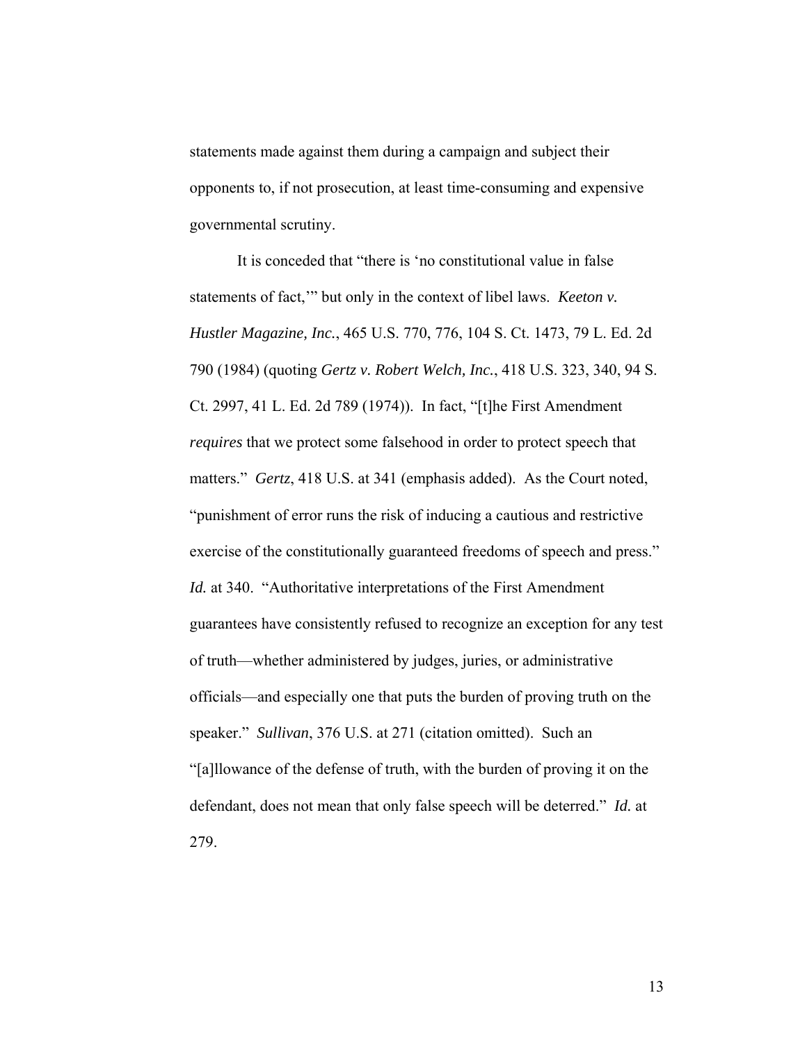statements made against them during a campaign and subject their opponents to, if not prosecution, at least time-consuming and expensive governmental scrutiny.

It is conceded that "there is 'no constitutional value in false statements of fact,'" but only in the context of libel laws. *Keeton v. Hustler Magazine, Inc.*, 465 U.S. 770, 776, 104 S. Ct. 1473, 79 L. Ed. 2d 790 (1984) (quoting *Gertz v. Robert Welch, Inc.*, 418 U.S. 323, 340, 94 S. Ct. 2997, 41 L. Ed. 2d 789 (1974)). In fact, "[t]he First Amendment *requires* that we protect some falsehood in order to protect speech that matters." *Gertz*, 418 U.S. at 341 (emphasis added). As the Court noted, "punishment of error runs the risk of inducing a cautious and restrictive exercise of the constitutionally guaranteed freedoms of speech and press." *Id.* at 340. "Authoritative interpretations of the First Amendment guarantees have consistently refused to recognize an exception for any test of truth—whether administered by judges, juries, or administrative officials—and especially one that puts the burden of proving truth on the speaker." *Sullivan*, 376 U.S. at 271 (citation omitted). Such an "[a]llowance of the defense of truth, with the burden of proving it on the defendant, does not mean that only false speech will be deterred." *Id.* at 279.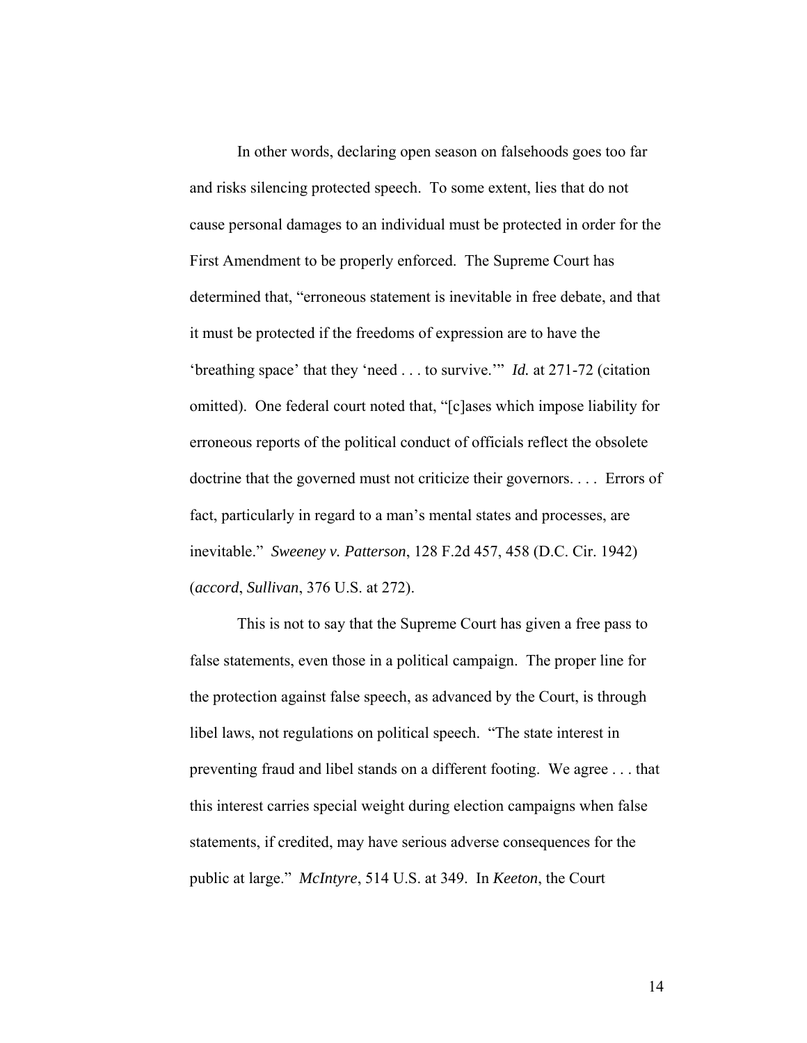In other words, declaring open season on falsehoods goes too far and risks silencing protected speech. To some extent, lies that do not cause personal damages to an individual must be protected in order for the First Amendment to be properly enforced. The Supreme Court has determined that, "erroneous statement is inevitable in free debate, and that it must be protected if the freedoms of expression are to have the 'breathing space' that they 'need . . . to survive.'" *Id.* at 271-72 (citation omitted). One federal court noted that, "[c]ases which impose liability for erroneous reports of the political conduct of officials reflect the obsolete doctrine that the governed must not criticize their governors. . . . Errors of fact, particularly in regard to a man's mental states and processes, are inevitable." *Sweeney v. Patterson*, 128 F.2d 457, 458 (D.C. Cir. 1942) (*accord*, *Sullivan*, 376 U.S. at 272).

This is not to say that the Supreme Court has given a free pass to false statements, even those in a political campaign. The proper line for the protection against false speech, as advanced by the Court, is through libel laws, not regulations on political speech. "The state interest in preventing fraud and libel stands on a different footing. We agree . . . that this interest carries special weight during election campaigns when false statements, if credited, may have serious adverse consequences for the public at large." *McIntyre*, 514 U.S. at 349. In *Keeton*, the Court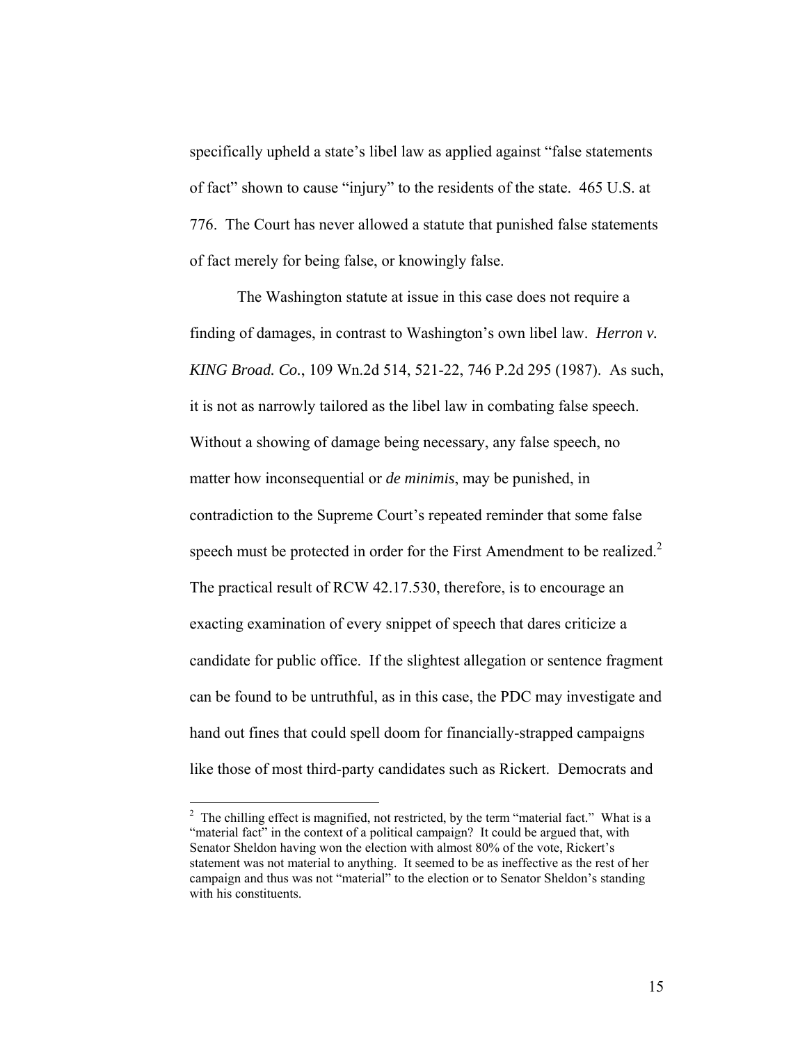specifically upheld a state's libel law as applied against "false statements of fact" shown to cause "injury" to the residents of the state. 465 U.S. at 776. The Court has never allowed a statute that punished false statements of fact merely for being false, or knowingly false.

The Washington statute at issue in this case does not require a finding of damages, in contrast to Washington's own libel law. *Herron v. KING Broad. Co.*, 109 Wn.2d 514, 521-22, 746 P.2d 295 (1987). As such, it is not as narrowly tailored as the libel law in combating false speech. Without a showing of damage being necessary, any false speech, no matter how inconsequential or *de minimis*, may be punished, in contradiction to the Supreme Court's repeated reminder that some false speech must be protected in order for the First Amendment to be realized. $2$ The practical result of RCW 42.17.530, therefore, is to encourage an exacting examination of every snippet of speech that dares criticize a candidate for public office. If the slightest allegation or sentence fragment can be found to be untruthful, as in this case, the PDC may investigate and hand out fines that could spell doom for financially-strapped campaigns like those of most third-party candidates such as Rickert. Democrats and

<span id="page-19-0"></span> $2$  The chilling effect is magnified, not restricted, by the term "material fact." What is a "material fact" in the context of a political campaign? It could be argued that, with Senator Sheldon having won the election with almost 80% of the vote, Rickert's statement was not material to anything. It seemed to be as ineffective as the rest of her campaign and thus was not "material" to the election or to Senator Sheldon's standing with his constituents.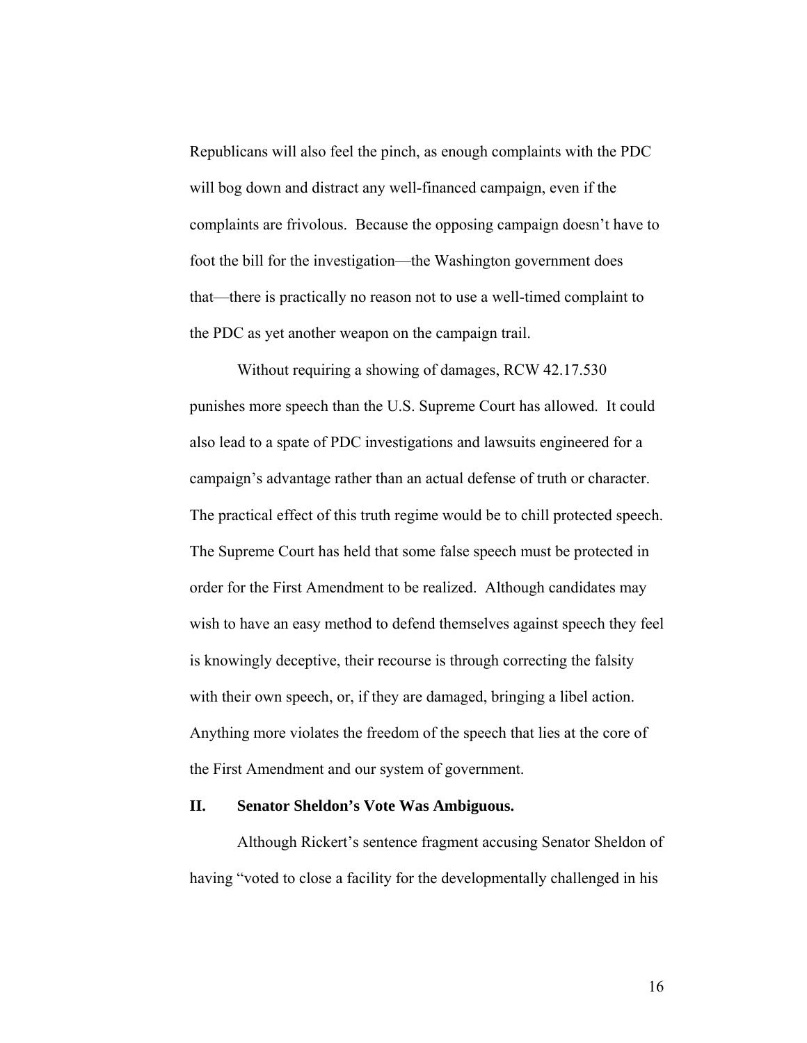Republicans will also feel the pinch, as enough complaints with the PDC will bog down and distract any well-financed campaign, even if the complaints are frivolous. Because the opposing campaign doesn't have to foot the bill for the investigation—the Washington government does that—there is practically no reason not to use a well-timed complaint to the PDC as yet another weapon on the campaign trail.

Without requiring a showing of damages, RCW 42.17.530 punishes more speech than the U.S. Supreme Court has allowed. It could also lead to a spate of PDC investigations and lawsuits engineered for a campaign's advantage rather than an actual defense of truth or character. The practical effect of this truth regime would be to chill protected speech. The Supreme Court has held that some false speech must be protected in order for the First Amendment to be realized. Although candidates may wish to have an easy method to defend themselves against speech they feel is knowingly deceptive, their recourse is through correcting the falsity with their own speech, or, if they are damaged, bringing a libel action. Anything more violates the freedom of the speech that lies at the core of the First Amendment and our system of government.

### **II. Senator Sheldon's Vote Was Ambiguous.**

Although Rickert's sentence fragment accusing Senator Sheldon of having "voted to close a facility for the developmentally challenged in his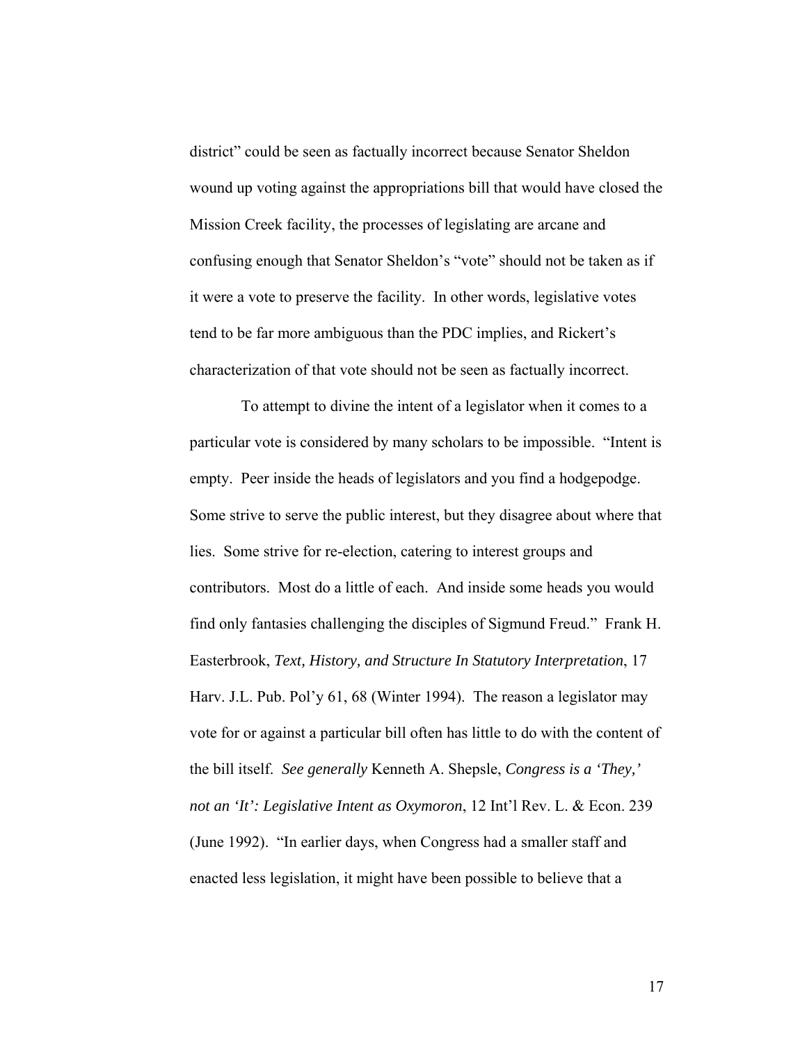district" could be seen as factually incorrect because Senator Sheldon wound up voting against the appropriations bill that would have closed the Mission Creek facility, the processes of legislating are arcane and confusing enough that Senator Sheldon's "vote" should not be taken as if it were a vote to preserve the facility. In other words, legislative votes tend to be far more ambiguous than the PDC implies, and Rickert's characterization of that vote should not be seen as factually incorrect.

 To attempt to divine the intent of a legislator when it comes to a particular vote is considered by many scholars to be impossible. "Intent is empty. Peer inside the heads of legislators and you find a hodgepodge. Some strive to serve the public interest, but they disagree about where that lies. Some strive for re-election, catering to interest groups and contributors. Most do a little of each. And inside some heads you would find only fantasies challenging the disciples of Sigmund Freud." Frank H. Easterbrook, *Text, History, and Structure In Statutory Interpretation*, 17 Harv. J.L. Pub. Pol'y 61, 68 (Winter 1994). The reason a legislator may vote for or against a particular bill often has little to do with the content of the bill itself. *See generally* Kenneth A. Shepsle, *Congress is a 'They,' not an 'It': Legislative Intent as Oxymoron*, 12 Int'l Rev. L. & Econ. 239 (June 1992). "In earlier days, when Congress had a smaller staff and enacted less legislation, it might have been possible to believe that a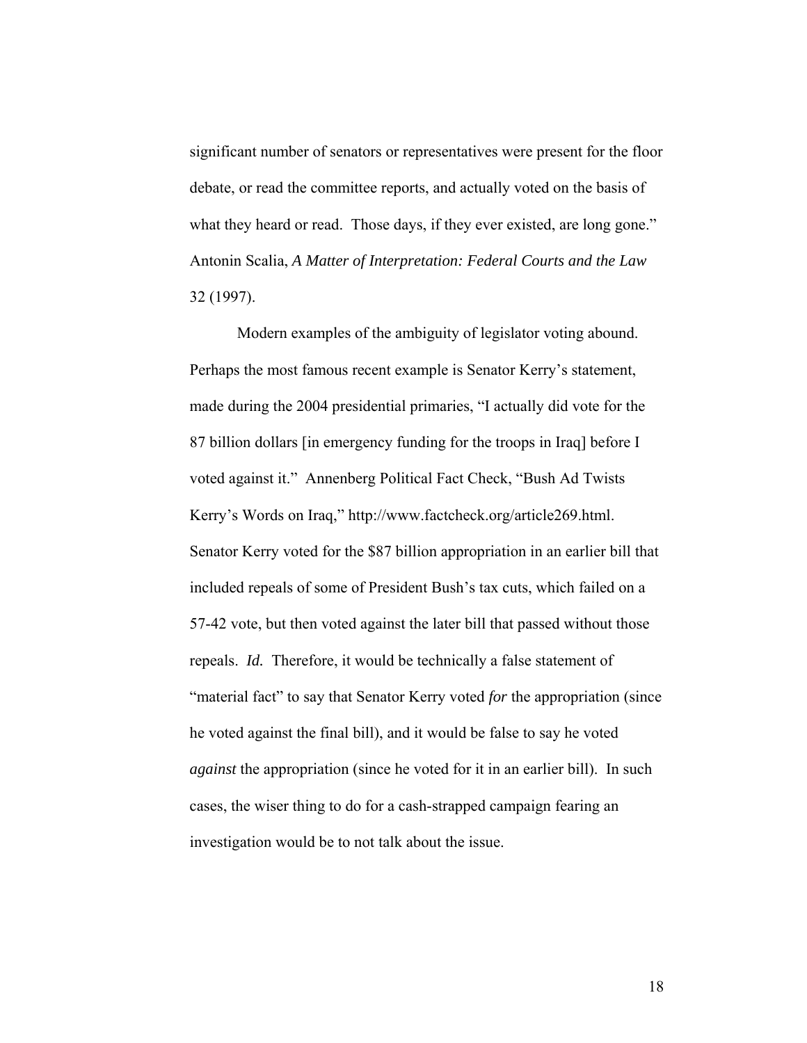significant number of senators or representatives were present for the floor debate, or read the committee reports, and actually voted on the basis of what they heard or read. Those days, if they ever existed, are long gone." Antonin Scalia, *A Matter of Interpretation: Federal Courts and the Law* 32 (1997).

Modern examples of the ambiguity of legislator voting abound. Perhaps the most famous recent example is Senator Kerry's statement, made during the 2004 presidential primaries, "I actually did vote for the 87 billion dollars [in emergency funding for the troops in Iraq] before I voted against it." Annenberg Political Fact Check, "Bush Ad Twists Kerry's Words on Iraq," http://www.factcheck.org/article269.html. Senator Kerry voted for the \$87 billion appropriation in an earlier bill that included repeals of some of President Bush's tax cuts, which failed on a 57-42 vote, but then voted against the later bill that passed without those repeals. *Id.* Therefore, it would be technically a false statement of "material fact" to say that Senator Kerry voted *for* the appropriation (since he voted against the final bill), and it would be false to say he voted *against* the appropriation (since he voted for it in an earlier bill). In such cases, the wiser thing to do for a cash-strapped campaign fearing an investigation would be to not talk about the issue.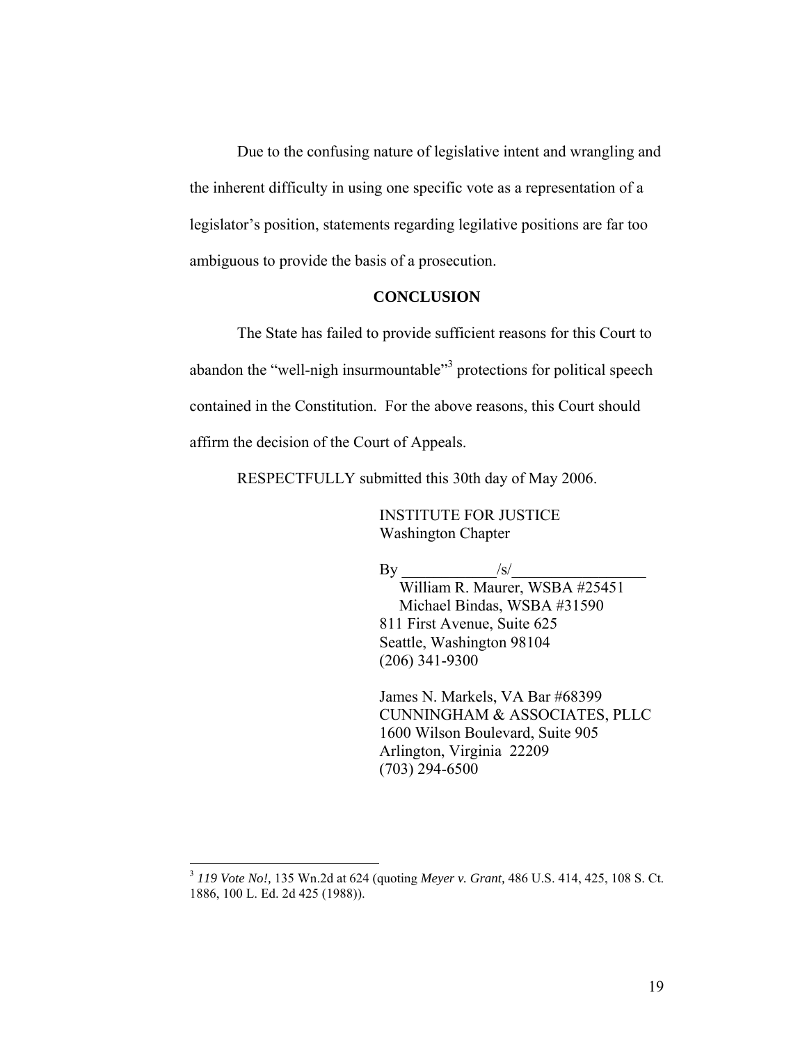Due to the confusing nature of legislative intent and wrangling and the inherent difficulty in using one specific vote as a representation of a legislator's position, statements regarding legilative positions are far too ambiguous to provide the basis of a prosecution.

### **CONCLUSION**

The State has failed to provide sufficient reasons for this Court to abandon the "well-nigh insurmountable"<sup>[3](#page-23-0)</sup> protections for political speech contained in the Constitution. For the above reasons, this Court should affirm the decision of the Court of Appeals.

RESPECTFULLY submitted this 30th day of May 2006.

 INSTITUTE FOR JUSTICE Washington Chapter

 $\mathbf{By}$  /s/

 William R. Maurer, WSBA #25451 Michael Bindas, WSBA #31590 811 First Avenue, Suite 625 Seattle, Washington 98104 (206) 341-9300

James N. Markels, VA Bar #68399 CUNNINGHAM & ASSOCIATES, PLLC 1600 Wilson Boulevard, Suite 905 Arlington, Virginia 22209 (703) 294-6500

 $\overline{a}$ 

<span id="page-23-0"></span><sup>3</sup> *119 Vote No!,* 135 Wn.2d at 624 (quoting *Meyer v. Grant,* 486 U.S. 414, 425, 108 S. Ct. 1886, 100 L. Ed. 2d 425 (1988)).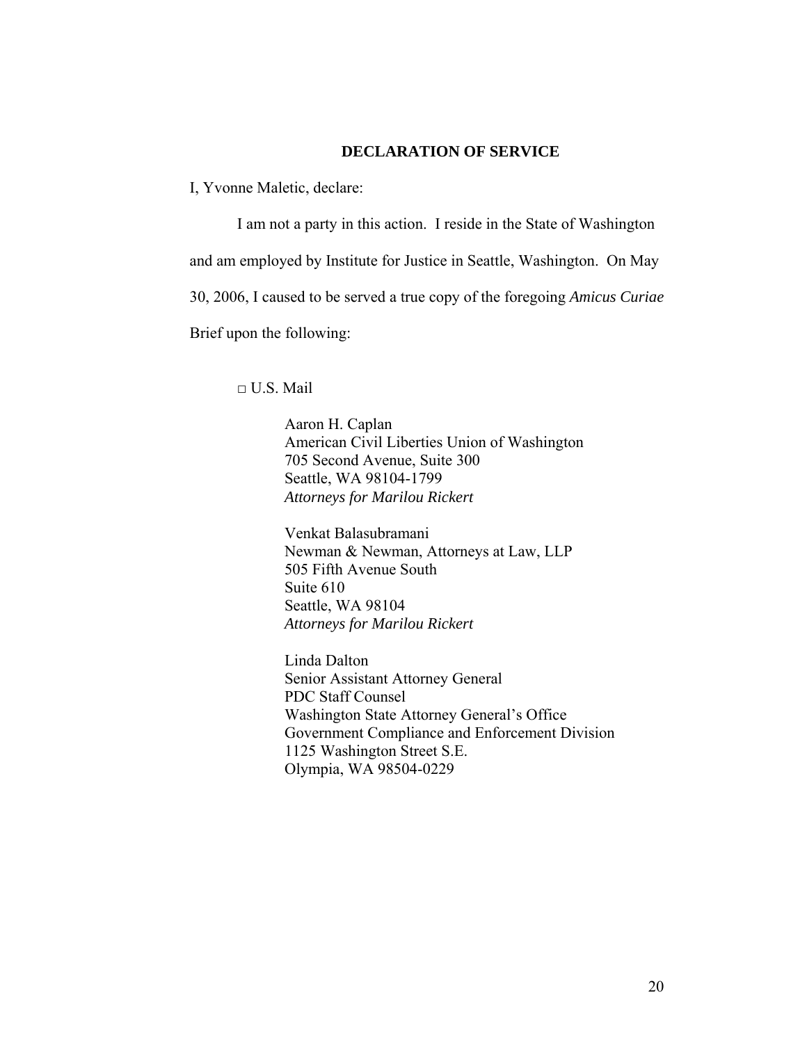### **DECLARATION OF SERVICE**

I, Yvonne Maletic, declare:

I am not a party in this action. I reside in the State of Washington and am employed by Institute for Justice in Seattle, Washington. On May 30, 2006, I caused to be served a true copy of the foregoing *Amicus Curiae* Brief upon the following:

 $\Box$  U.S. Mail

Aaron H. Caplan American Civil Liberties Union of Washington 705 Second Avenue, Suite 300 Seattle, WA 98104-1799 *Attorneys for Marilou Rickert* 

Venkat Balasubramani Newman & Newman, Attorneys at Law, LLP 505 Fifth Avenue South Suite 610 Seattle, WA 98104 *Attorneys for Marilou Rickert*

Linda Dalton Senior Assistant Attorney General PDC Staff Counsel Washington State Attorney General's Office Government Compliance and Enforcement Division 1125 Washington Street S.E. Olympia, WA 98504-0229